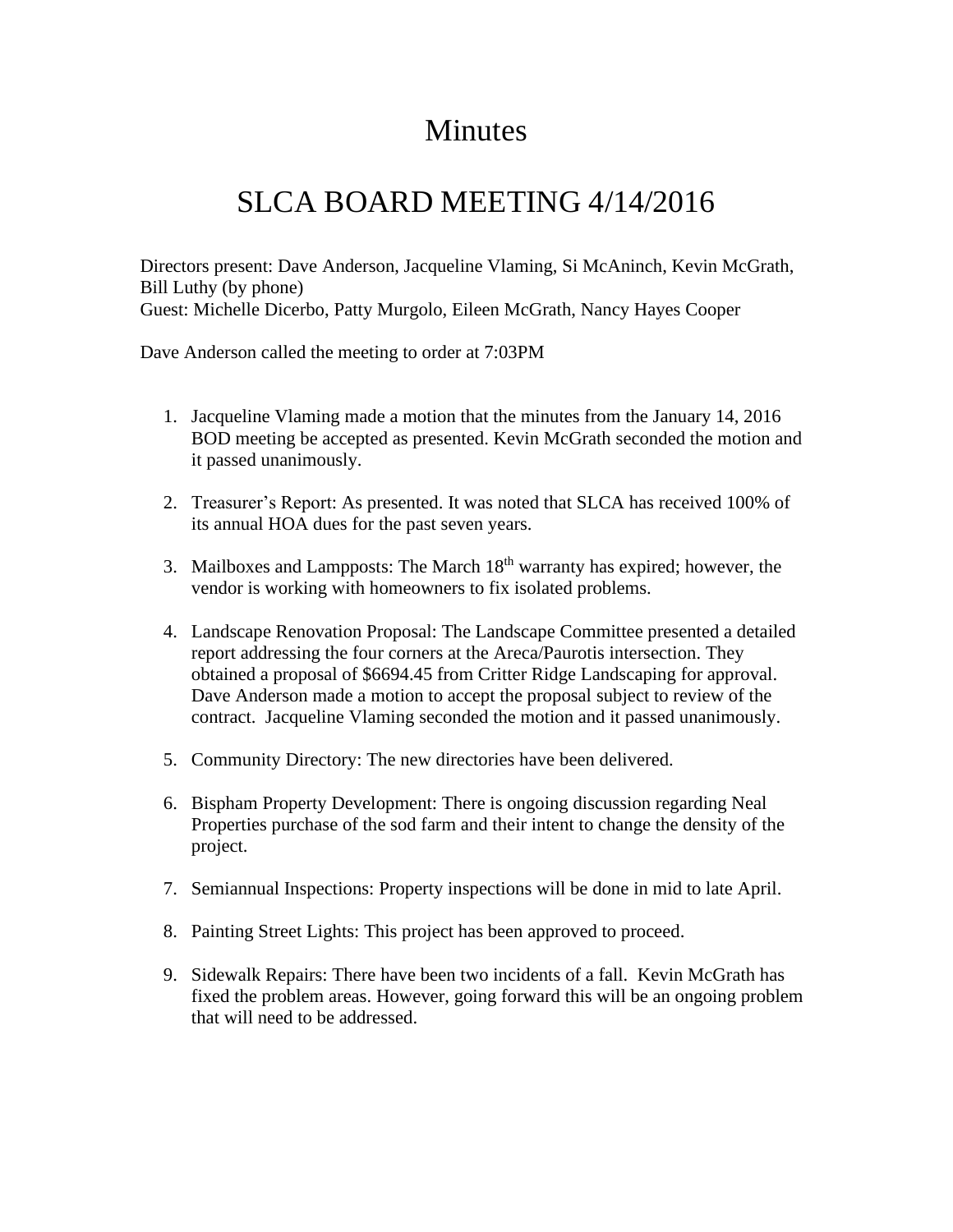## **Minutes**

## SLCA BOARD MEETING 4/14/2016

Directors present: Dave Anderson, Jacqueline Vlaming, Si McAninch, Kevin McGrath, Bill Luthy (by phone) Guest: Michelle Dicerbo, Patty Murgolo, Eileen McGrath, Nancy Hayes Cooper

Dave Anderson called the meeting to order at 7:03PM

- 1. Jacqueline Vlaming made a motion that the minutes from the January 14, 2016 BOD meeting be accepted as presented. Kevin McGrath seconded the motion and it passed unanimously.
- 2. Treasurer's Report: As presented. It was noted that SLCA has received 100% of its annual HOA dues for the past seven years.
- 3. Mailboxes and Lampposts: The March  $18<sup>th</sup>$  warranty has expired; however, the vendor is working with homeowners to fix isolated problems.
- 4. Landscape Renovation Proposal: The Landscape Committee presented a detailed report addressing the four corners at the Areca/Paurotis intersection. They obtained a proposal of \$6694.45 from Critter Ridge Landscaping for approval. Dave Anderson made a motion to accept the proposal subject to review of the contract. Jacqueline Vlaming seconded the motion and it passed unanimously.
- 5. Community Directory: The new directories have been delivered.
- 6. Bispham Property Development: There is ongoing discussion regarding Neal Properties purchase of the sod farm and their intent to change the density of the project.
- 7. Semiannual Inspections: Property inspections will be done in mid to late April.
- 8. Painting Street Lights: This project has been approved to proceed.
- 9. Sidewalk Repairs: There have been two incidents of a fall. Kevin McGrath has fixed the problem areas. However, going forward this will be an ongoing problem that will need to be addressed.